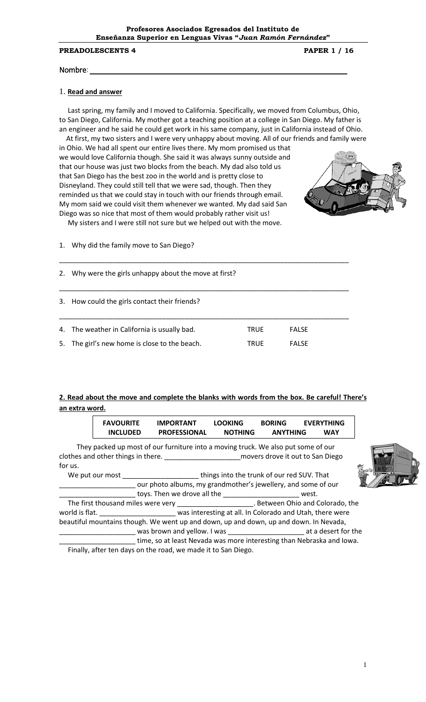### **PREADOLESCENTS 4** PAPER 1 / 16

### Nombre: *\_\_\_\_\_\_\_\_\_\_\_\_\_\_\_\_\_\_\_\_\_\_\_\_\_\_\_\_\_\_\_\_\_\_\_\_\_\_\_\_\_\_\_\_\_\_\_\_\_\_\_\_\_\_*

## 1. **Read and answer**

 Last spring, my family and I moved to California. Specifically, we moved from Columbus, Ohio, to San Diego, California. My mother got a teaching position at a college in San Diego. My father is an engineer and he said he could get work in his same company, just in California instead of Ohio.

 At first, my two sisters and I were very unhappy about moving. All of our friends and family were in Ohio. We had all spent our entire lives there. My mom promised us that we would love California though. She said it was always sunny outside and that our house was just two blocks from the beach. My dad also told us that San Diego has the best zoo in the world and is pretty close to Disneyland. They could still tell that we were sad, though. Then they reminded us that we could stay in touch with our friends through email. My mom said we could visit them whenever we wanted. My dad said San Diego was so nice that most of them would probably rather visit us!



My sisters and I were still not sure but we helped out with the move.

### 1. Why did the family move to San Diego?

2. Why were the girls unhappy about the move at first?

3. How could the girls contact their friends?

| 4. The weather in California is usually bad.  | <b>TRUF</b> | <b>FALSE</b> |
|-----------------------------------------------|-------------|--------------|
| 5. The girl's new home is close to the beach. | <b>TRUF</b> | <b>FALSE</b> |

\_\_\_\_\_\_\_\_\_\_\_\_\_\_\_\_\_\_\_\_\_\_\_\_\_\_\_\_\_\_\_\_\_\_\_\_\_\_\_\_\_\_\_\_\_\_\_\_\_\_\_\_\_\_\_\_\_\_\_\_\_\_\_\_\_\_\_\_\_\_\_\_\_\_\_\_

\_\_\_\_\_\_\_\_\_\_\_\_\_\_\_\_\_\_\_\_\_\_\_\_\_\_\_\_\_\_\_\_\_\_\_\_\_\_\_\_\_\_\_\_\_\_\_\_\_\_\_\_\_\_\_\_\_\_\_\_\_\_\_\_\_\_\_\_\_\_\_\_\_\_\_\_

\_\_\_\_\_\_\_\_\_\_\_\_\_\_\_\_\_\_\_\_\_\_\_\_\_\_\_\_\_\_\_\_\_\_\_\_\_\_\_\_\_\_\_\_\_\_\_\_\_\_\_\_\_\_\_\_\_\_\_\_\_\_\_\_\_\_\_\_\_\_\_\_\_\_\_\_

# **2. Read about the move and complete the blanks with words from the box. Be careful! There's an extra word.**

| <b>FAVOURITE</b> | <b>IMPORTANT</b>    | <b>LOOKING</b> | <b>BORING</b>   | <b>EVERYTHING</b> |
|------------------|---------------------|----------------|-----------------|-------------------|
| <b>INCLUDED</b>  | <b>PROFESSIONAL</b> | <b>NOTHING</b> | <b>ANYTHING</b> | <b>WAY</b>        |

They packed up most of our furniture into a moving truck. We also put some of our clothes and other things in there. \_\_\_\_\_\_\_\_\_\_\_\_\_\_\_\_\_\_\_\_\_\_\_\_\_\_movers drove it out to San Diego for us.

We put our most \_\_\_\_\_\_\_\_\_\_\_\_\_\_\_\_\_\_\_\_\_\_\_\_\_\_things into the trunk of our red SUV. That \_\_\_\_\_\_\_\_\_\_\_\_\_\_\_\_\_\_\_\_ our photo albums, my grandmother's jewellery, and some of our



\_\_\_\_ toys. Then we drove all the \_\_\_\_\_\_\_\_\_\_\_\_\_\_\_\_\_\_\_\_\_\_\_\_\_\_ west. The first thousand miles were very \_\_\_\_\_\_\_\_\_\_\_\_\_\_\_\_\_\_\_\_\_\_\_\_. Between Ohio and Colorado, the world is flat.  $\blacksquare$  was interesting at all. In Colorado and Utah, there were beautiful mountains though. We went up and down, up and down, up and down. In Nevada, \_\_\_\_\_\_\_\_\_\_\_\_\_\_\_\_\_\_\_\_ was brown and yellow. I was \_\_\_\_\_\_\_\_\_\_\_\_\_\_\_\_\_\_\_\_ at a desert for the time, so at least Nevada was more interesting than Nebraska and Iowa.

Finally, after ten days on the road, we made it to San Diego.